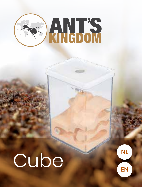

# Cube

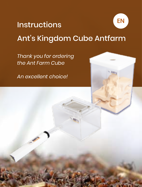### **Instructions** Ant's Kingdom Cube Antfarm EN

*Thank you for ordering the Ant Farm Cube*

*An excellent choice!*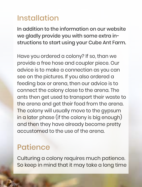## Installation

In addition to the information on our website we gladly provide you with some extra instructions to start using your Cube Ant Farm.

Have you ordered a colony? If so, than we provide a free hose and coupler piece. Our advice is to make a connection as you can see on the pictures. If you also ordered a feeding box or arena, then our advice is to connect the colony close to the arena. The ants then get used to transport their waste to the arena and get their food from the arena. The colony will usually move to the gypsum in a later phase (if the colony is big enough) and then they have already become pretty accustomed to the use of the arena.

### **Patience**

Culturing a colony requires much patience. So keep in mind that it may take a long time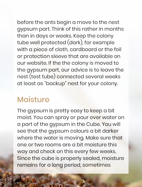before the ants begin a move to the nest

gypsum part. Think of this rather in months than in days or weeks. Keep the colony tube well protected (dark), for example with a piece of cloth, cardboard or the foil or protection sleeve that are available on our website. If the the colony is moved to the gypsum part, our advice is to leave the nest (test tube) connected several weeks at least as "backup" nest for your colony.

### **Moisture**

The gypsum is pretty easy to keep a bit moist. You can spray or pour over water on a part of the gypsum in the Cube. You will see that the gypsum colours a bit darker where the water is moving. Make sure that one or two rooms are a bit moisture this way and check on this every few weeks. Since the cube is properly sealed, moisture remains for a long period, sometimes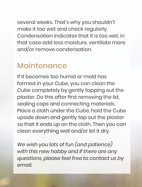several weeks. That's why you shouldn't make it too wet and check regularly. Condensation indicates that it is too wet, in that case add less moisture, ventilate more and/or remove condensation.

#### Maintenance

If it becomes too humid or mold has formed in your Cube, you can clean the Cube completely by gently tapping out the plaster. Do this after first removing the lid, sealing caps and connecting materials. Place a cloth under the Cube, hold the Cube upside down and gently tap out the plaster so that it ends up on the cloth. Then you can clean everything well and/or let it dry.

*We wish you lots of fun (and patience) with this new hobby and if there are any questions, please feel free to contact us by email.*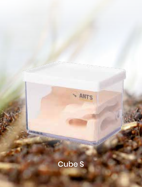# Cube S

ANTS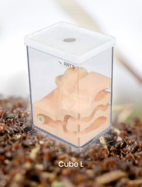